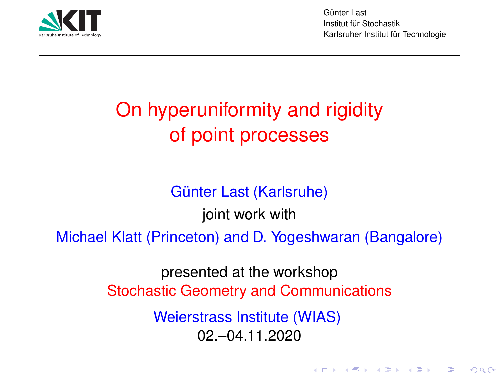

Günter Last Institut für Stochastik Karlsruher Institut für Technologie

★ ロ ▶ → 御 ▶ → 결 ▶ → 결 ▶ │ 결

 $298$ 

# On hyperuniformity and rigidity of point processes

# Günter Last (Karlsruhe)

## joint work with

Michael Klatt (Princeton) and D. Yogeshwaran (Bangalore)

presented at the workshop Stochastic Geometry and Communications

> Weierstrass Institute (WIAS) 02.–04.11.2020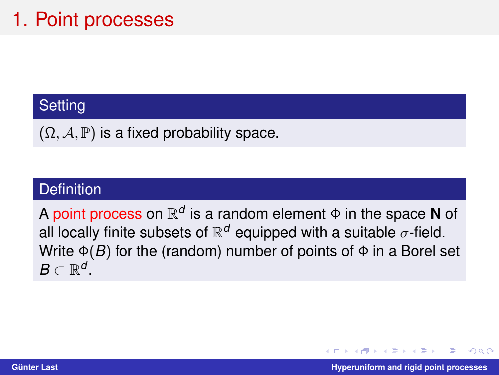# 1. Point processes

#### **Setting**

 $(\Omega, \mathcal{A}, \mathbb{P})$  is a fixed probability space.

### **Definition**

A point process on R *d* is a random element Φ in the space **N** of all locally finite subsets of  $\mathbb{R}^d$  equipped with a suitable  $\sigma$ -field. Write  $\Phi(B)$  for the (random) number of points of  $\Phi$  in a Borel set  $B \subset \mathbb{R}^d$ .

 $209$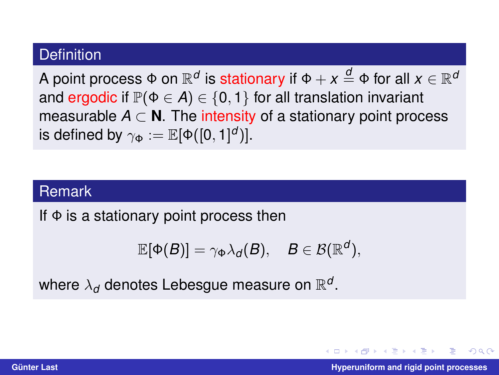#### **Definition**

A point process  $\Phi$  on  $\mathbb{R}^d$  is stationary if  $\Phi + x \stackrel{d}{=} \Phi$  for all  $x \in \mathbb{R}^d$ and ergodic if  $\mathbb{P}(\Phi \in A) \in \{0, 1\}$  for all translation invariant measurable  $A \subset \mathbb{N}$ . The intensity of a stationary point process is defined by  $\gamma_\Phi:=\mathbb{E}[\Phi([0,1]^d)].$ 

#### **Remark**

If  $\Phi$  is a stationary point process then

$$
\mathbb{E}[\Phi(B)] = \gamma_\Phi \lambda_d(B), \quad B \in \mathcal{B}(\mathbb{R}^d),
$$

where  $\lambda_d$  denotes Lebesgue measure on  $\mathbb{R}^d.$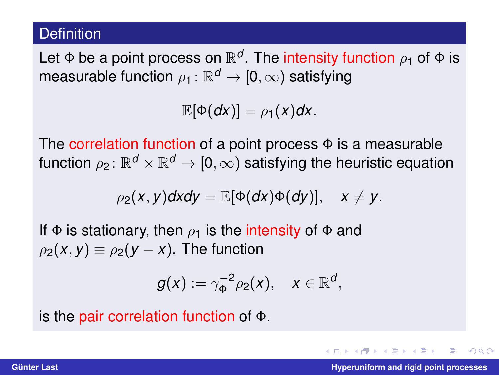#### **Definition**

Let  $\Phi$  be a point process on  $\mathbb{R}^d.$  The intensity function  $\rho_1$  of  $\Phi$  is measurable function  $\rho_1\colon \mathbb{R}^d \to [0,\infty)$  satisfying

 $\mathbb{E}[\Phi(dx)] = \rho_1(x)dx$ .

The correlation function of a point process  $\Phi$  is a measurable function  $\rho_2\colon \mathbb{R}^d \times \mathbb{R}^d \to [0,\infty)$  satisfying the heuristic equation

$$
\rho_2(x,y)dxdy=\mathbb{E}[\Phi(dx)\Phi(dy)], x\neq y.
$$

If  $\Phi$  is stationary, then  $\rho_1$  is the intensity of  $\Phi$  and  $\rho_2(x, y) \equiv \rho_2(y - x)$ . The function

$$
g(x):=\gamma_{\Phi}^{-2}\rho_2(x),\quad x\in\mathbb{R}^d,
$$

is the pair correlation function of Φ.

 $209$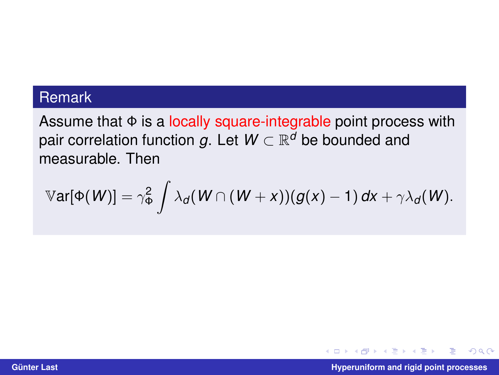### Remark

Assume that Φ is a locally square-integrable point process with pair correlation function  $g.$  Let  $W \subset \mathbb{R}^d$  be bounded and measurable. Then

$$
\mathbb{V}\text{ar}[\Phi(W)] = \gamma_{\Phi}^2 \int \lambda_d(W \cap (W+x))(g(x) - 1) dx + \gamma \lambda_d(W).
$$

**Günter Last Hyperuniform and rigid point processes** 

 $QQ$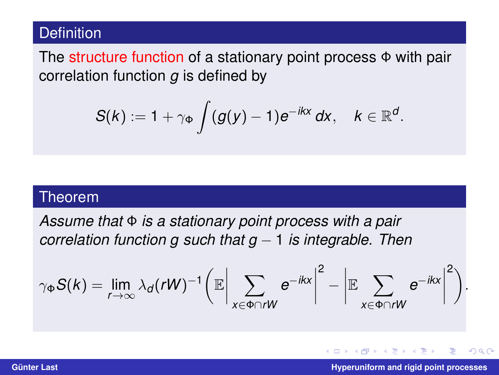## **Definition**

The structure function of a stationary point process  $\Phi$  with pair correlation function *g* is defined by

$$
S(k) := 1 + \gamma_{\Phi} \int (g(y) - 1) e^{-ikx} dx, \quad k \in \mathbb{R}^d.
$$

#### Theorem

*Assume that* Φ *is a stationary point process with a pair correlation function g such that g* − 1 *is integrable. Then*

$$
\gamma_{\Phi} S(k) = \lim_{r \to \infty} \lambda_d (rW)^{-1} \left( \mathbb{E} \bigg| \sum_{x \in \Phi \cap rW} e^{-ikx} \bigg|^2 - \bigg| \mathbb{E} \sum_{x \in \Phi \cap rW} e^{-ikx} \bigg|^2 \right).
$$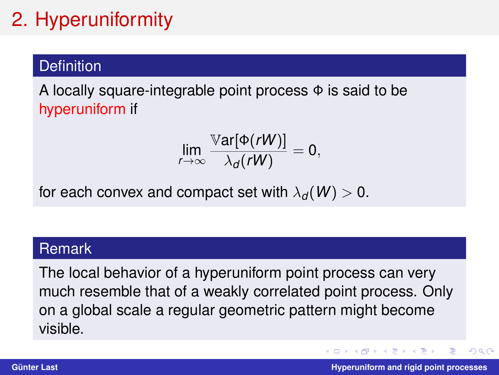# 2. Hyperuniformity

### **Definition**

A locally square-integrable point process  $\Phi$  is said to be hyperuniform if

$$
\lim_{r\to\infty}\frac{\mathbb{V}\text{ar}[\Phi(rW)]}{\lambda_d(rW)}=0,
$$

for each convex and compact set with  $\lambda_d(W) > 0$ .

#### Remark

The local behavior of a hyperuniform point process can very much resemble that of a weakly correlated point process. Only on a global scale a regular geometric pattern might become visible.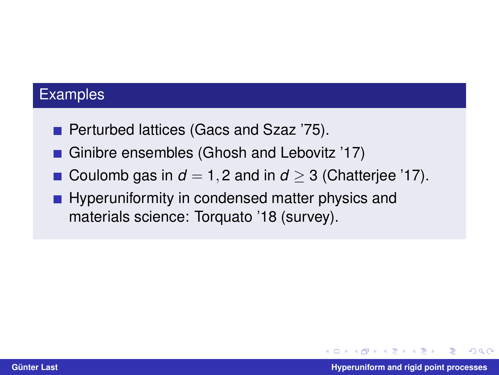#### Examples

- **Perturbed lattices (Gacs and Szaz '75).**
- Ginibre ensembles (Ghosh and Lebovitz '17)
- Coulomb gas in  $d = 1, 2$  and in  $d \geq 3$  (Chatterjee '17).
- Hyperuniformity in condensed matter physics and materials science: Torquato '18 (survey).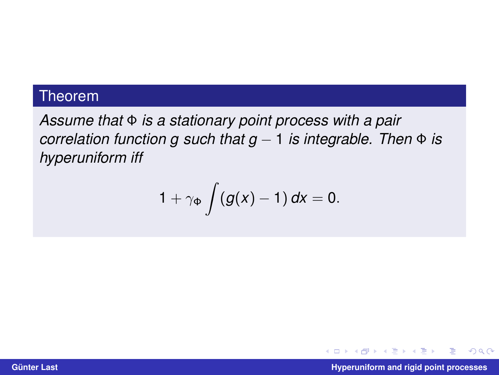#### Theorem

*Assume that* Φ *is a stationary point process with a pair correlation function g such that g* − 1 *is integrable. Then* Φ *is hyperuniform iff*

$$
1+\gamma_{\Phi}\int(g(x)-1)\,dx=0.
$$

**Günter Last Hyperuniform and rigid point processes** 

 $2990$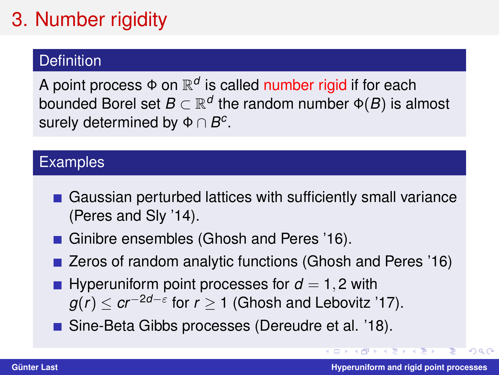# 3. Number rigidity

# **Definition**

A point process  $\Phi$  on  $\mathbb{R}^d$  is called number rigid if for each bounded Borel set  $B \subset \mathbb{R}^d$  the random number  $\Phi(B)$  is almost surely determined by  $\Phi \cap B^c.$ 

## Examples

- Gaussian perturbed lattices with sufficiently small variance (Peres and Sly '14).
- Ginibre ensembles (Ghosh and Peres '16).
- Zeros of random analytic functions (Ghosh and Peres '16)
- Hyperuniform point processes for  $d = 1, 2$  with  $g(r) \leq c r^{-2d-\varepsilon}$  for  $r \geq 1$  (Ghosh and Lebovitz '17).
- Sine-Beta Gibbs processes (Dereudre et al. '18).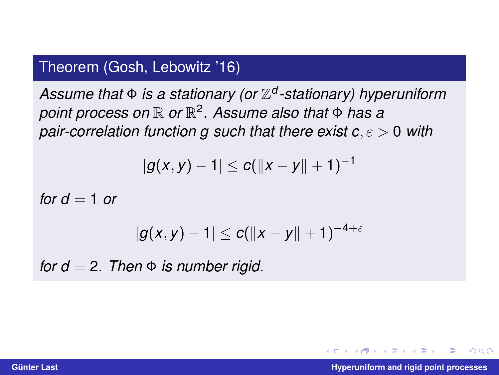#### Theorem (Gosh, Lebowitz '16)

*Assume that* Φ *is a stationary (or* Z *d -stationary) hyperuniform point process on* R *or* R 2 *. Assume also that* Φ *has a pair-correlation function g such that there exist c*, ε > 0 *with*

$$
|g(x,y)-1|\leq c(\|x-y\|+1)^{-1}
$$

*for*  $d = 1$  *or* 

$$
|g(x,y)-1| \leq c(||x-y||+1)^{-4+\varepsilon}
$$

*for d* = 2. Then  $\Phi$  *is number rigid.* 

 $209$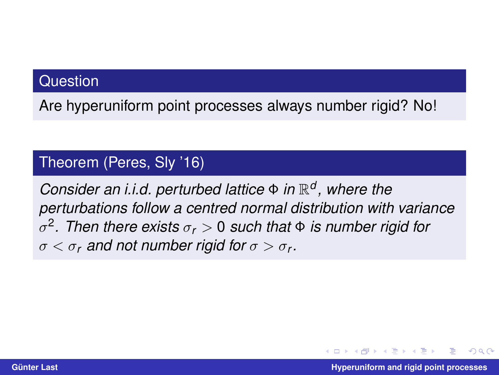#### **Question**

Are hyperuniform point processes always number rigid? No!

## Theorem (Peres, Sly '16)

*Consider an i.i.d. perturbed lattice* Φ *in* R *d , where the perturbations follow a centred normal distribution with variance* σ 2 *. Then there exists* σ*<sup>r</sup>* > 0 *such that* Φ *is number rigid for*  $\sigma < \sigma_{\mathsf{r}}$  and not number rigid for  $\sigma > \sigma_{\mathsf{r}}.$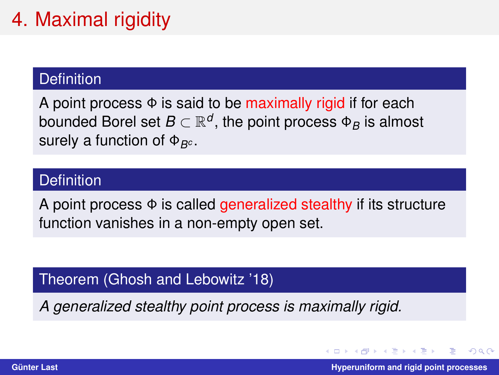# 4. Maximal rigidity

### **Definition**

A point process  $\Phi$  is said to be maximally rigid if for each bounded Borel set  $B \subset \mathbb{R}^d,$  the point process  $\Phi_B$  is almost surely a function of Φ*B<sup>c</sup>* .

### **Definition**

A point process  $\Phi$  is called generalized stealthy if its structure function vanishes in a non-empty open set.

### Theorem (Ghosh and Lebowitz '18)

*A generalized stealthy point process is maximally rigid.*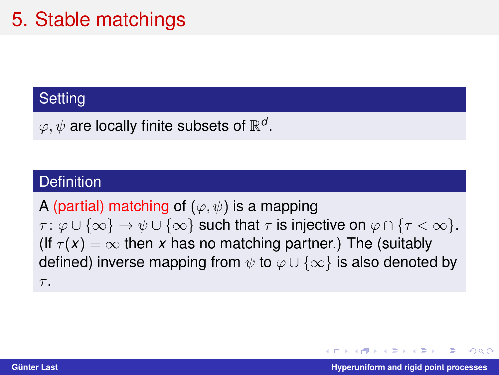# 5. Stable matchings

#### **Setting**

 $\varphi,\psi$  are locally finite subsets of  $\mathbb{R}^d.$ 

## **Definition**

A (partial) matching of  $(\varphi, \psi)$  is a mapping  $\tau: \varphi \cup {\infty} \rightarrow \psi \cup {\infty}$  such that  $\tau$  is injective on  $\varphi \cap {\tau < \infty}$ . (If  $\tau(x) = \infty$  then x has no matching partner.) The (suitably defined) inverse mapping from  $\psi$  to  $\varphi \cup {\infty}$  is also denoted by  $\tau$ .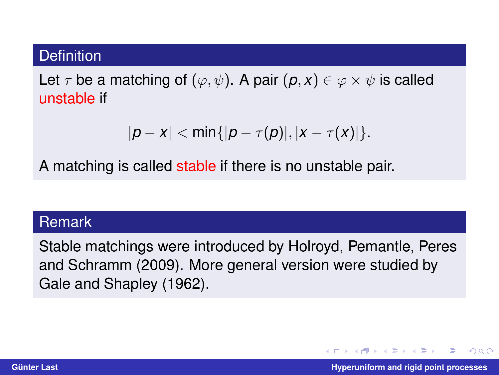### **Definition**

Let  $\tau$  be a matching of  $(\varphi, \psi)$ . A pair  $(p, x) \in \varphi \times \psi$  is called unstable if

$$
|p-x| < \min\{|p-\tau(p)|, |x-\tau(x)|\}.
$$

A matching is called stable if there is no unstable pair.

#### Remark

Stable matchings were introduced by Holroyd, Pemantle, Peres and Schramm (2009). More general version were studied by Gale and Shapley (1962).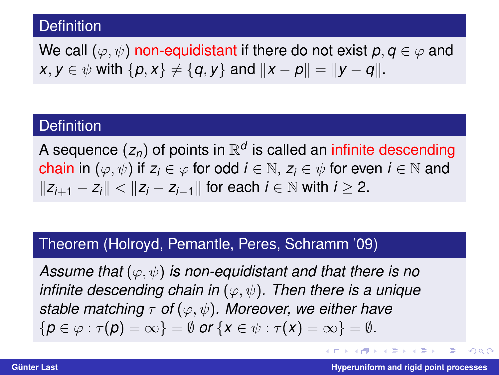#### **Definition**

We call  $(\varphi, \psi)$  non-equidistant if there do not exist  $p, q \in \varphi$  and *x*, *y* ∈  $\psi$  with {*p*, *x*}  $\neq$  {*q*, *y*} and  $||x − p|| = ||y − q||$ .

### **Definition**

A sequence  $(z_n)$  of points in  $\mathbb{R}^d$  is called an infinite descending chain in  $(\varphi, \psi)$  if  $z_i \in \varphi$  for odd  $i \in \mathbb{N}$ ,  $z_i \in \psi$  for even  $i \in \mathbb{N}$  and  $||z_{i+1} - z_i|| < ||z_i - z_{i-1}||$  for each *i* ∈ N with *i* ≥ 2.

#### Theorem (Holroyd, Pemantle, Peres, Schramm '09)

*Assume that*  $(\varphi, \psi)$  *is non-equidistant and that there is no infinite descending chain in*  $(\varphi, \psi)$ *. Then there is a unique stable matching* τ *of* (ϕ, ψ)*. Moreover, we either have*  $\{p \in \varphi : \tau(p) = \infty\} = \emptyset$  or  $\{x \in \psi : \tau(x) = \infty\} = \emptyset$ .

Ξ

 $\Omega$ 

 $($  ロ )  $($  何 )  $($  ヨ )  $($  ヨ  $)$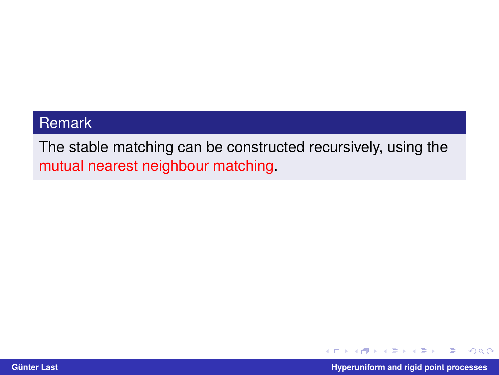## Remark

The stable matching can be constructed recursively, using the mutual nearest neighbour matching.



 $2990$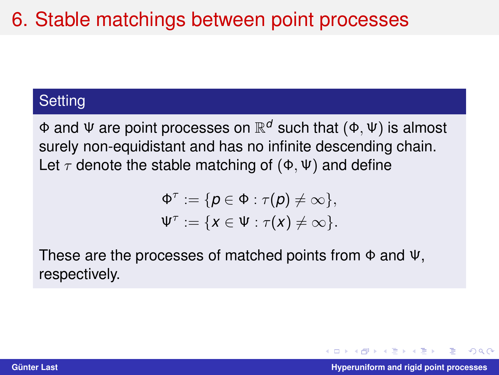# 6. Stable matchings between point processes

## **Setting**

Φ and Ψ are point processes on R *<sup>d</sup>* such that (Φ, Ψ) is almost surely non-equidistant and has no infinite descending chain. Let  $\tau$  denote the stable matching of ( $\Phi$ ,  $\Psi$ ) and define

$$
\Phi^{\tau} := \{ p \in \Phi : \tau(p) \neq \infty \},
$$
  

$$
\Psi^{\tau} := \{ x \in \Psi : \tau(x) \neq \infty \}.
$$

These are the processes of matched points from  $\Phi$  and  $\Psi$ . respectively.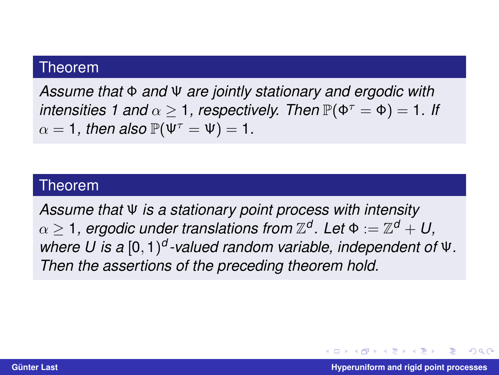#### Theorem

*Assume that* Φ *and* Ψ *are jointly stationary and ergodic with intensities 1 and*  $\alpha \geq 1$ , *respectively. Then*  $\mathbb{P}(\Phi^{\tau} = \Phi) = 1$ *. If*  $\alpha = 1$ *, then also*  $\mathbb{P}(\Psi^{\tau} = \Psi) = 1$ *.* 

#### Theorem

*Assume that* Ψ *is a stationary point process with intensity*  $\alpha \geq 1$ , ergodic under translations from  $\mathbb{Z}^d$  . Let  $\Phi:=\mathbb{Z}^d+U,$ *where U is a* [0, 1) *d -valued random variable, independent of* Ψ*. Then the assertions of the preceding theorem hold.*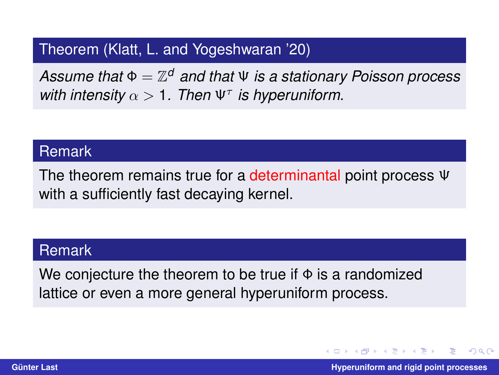#### Theorem (Klatt, L. and Yogeshwaran '20)

*Assume that* Φ = Z *<sup>d</sup> and that* Ψ *is a stationary Poisson process* with intensity  $\alpha > 1$ . Then  $\Psi^{\tau}$  is hyperuniform.

#### Remark

The theorem remains true for a determinantal point process  $\Psi$ with a sufficiently fast decaying kernel.

#### **Remark**

We conjecture the theorem to be true if  $\Phi$  is a randomized lattice or even a more general hyperuniform process.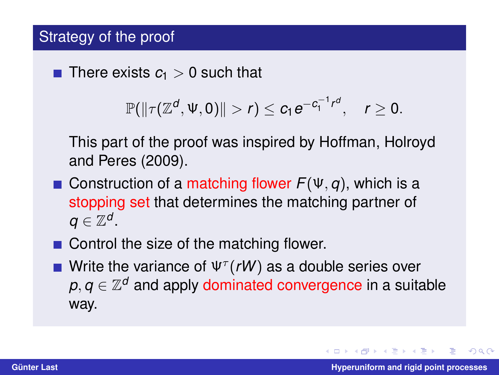**There exists**  $c_1 > 0$  **such that** 

$$
\mathbb{P}(\|\tau(\mathbb{Z}^d,\Psi,0)\|>r)\leq c_1e^{-c_1^{-1}r^d},\quad r\geq 0.
$$

This part of the proof was inspired by Hoffman, Holroyd and Peres (2009).

- Construction of a matching flower  $F(\Psi, q)$ , which is a stopping set that determines the matching partner of  $q \in \mathbb{Z}^d$ .
- Control the size of the matching flower.
- Write the variance of  $\Psi^{\tau}(rW)$  as a double series over  $\bm{\rho},\bm{q}\in\mathbb{Z}^d$  and apply dominated convergence in a suitable way.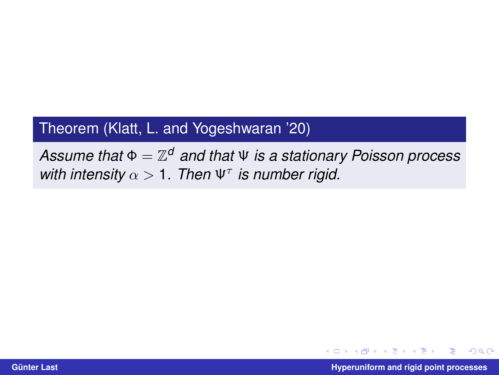## Theorem (Klatt, L. and Yogeshwaran '20)

*Assume that* Φ = Z *<sup>d</sup> and that* Ψ *is a stationary Poisson process* with intensity  $\alpha > 1$ . Then  $\Psi^{\tau}$  is number rigid.



 $QQ$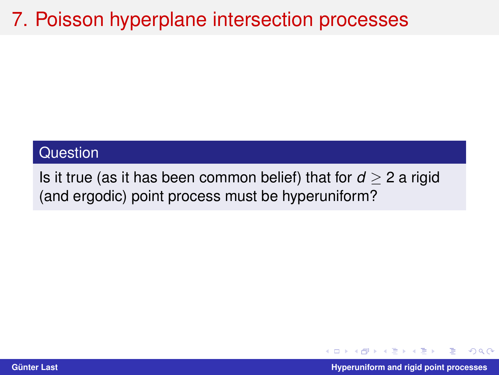# 7. Poisson hyperplane intersection processes

#### **Question**

Is it true (as it has been common belief) that for  $d \geq 2$  a rigid (and ergodic) point process must be hyperuniform?

**Günter Last Hyperuniform and rigid point processes**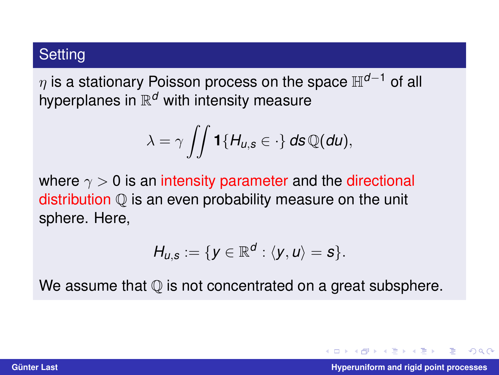#### **Setting**

η is a stationary Poisson process on the space H*d*−<sup>1</sup> of all hyperplanes in  $\mathbb{R}^d$  with intensity measure

$$
\lambda = \gamma \iint \mathbf{1} \{ H_{u,s} \in \cdot \} ds \, \mathbb{Q}(du),
$$

where  $\gamma > 0$  is an intensity parameter and the directional distribution Q is an even probability measure on the unit sphere. Here,

$$
H_{u,s}:=\{y\in\mathbb{R}^d:\langle y,u\rangle=s\}.
$$

We assume that  $\mathbb O$  is not concentrated on a great subsphere.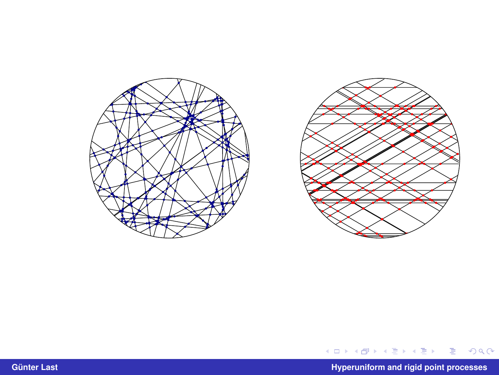



K ロ X x 何 X x を X x を X を X を X の Q (V) **Günter Last Community Community Community Community Community Community Community Community Community Community Community Community Community Community Community Community Community Community Community Community Communi**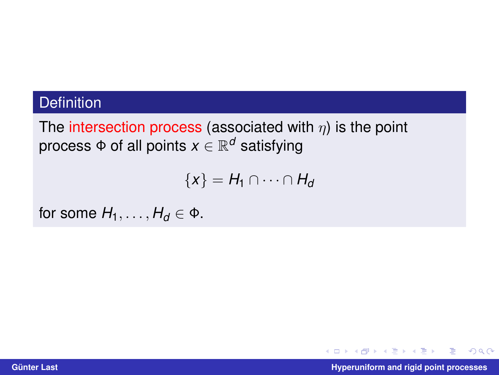## **Definition**

The intersection process (associated with  $\eta$ ) is the point process  $\Phi$  of all points  $x \in \mathbb{R}^d$  satisfying

$$
\{x\}=H_1\cap\cdots\cap H_d
$$

for some  $H_1, \ldots, H_d \in \Phi$ .

 $QQ$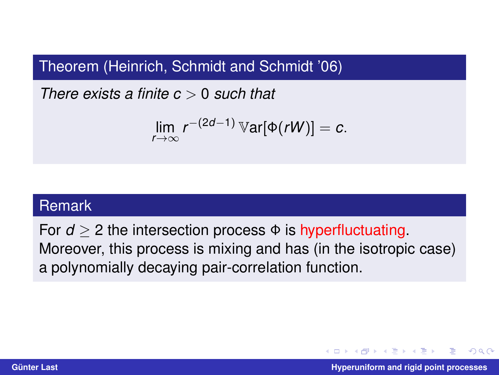#### Theorem (Heinrich, Schmidt and Schmidt '06)

*There exists a finite c* > 0 *such that*

$$
\lim_{r\to\infty}r^{-(2d-1)}\mathbb{V}\text{ar}[\Phi(rW)]=c.
$$

#### **Remark**

For  $d \geq 2$  the intersection process  $\Phi$  is hyperfluctuating. Moreover, this process is mixing and has (in the isotropic case) a polynomially decaying pair-correlation function.

**Günter Last Community Community Community Community Community Community Community Community Community Community Community Community Community Community Community Community Community Community Community Community Communi**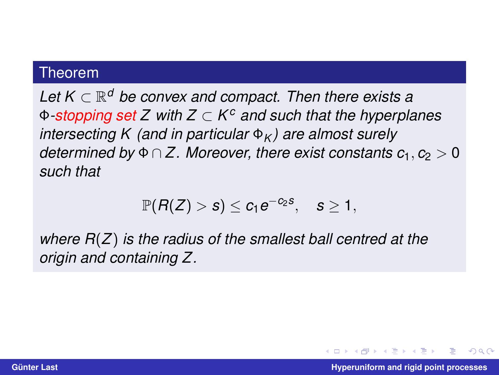#### Theorem

*Let K* ⊂ R *<sup>d</sup> be convex and compact. Then there exists a* Φ*-stopping set Z with Z* ⊂ *K <sup>c</sup> and such that the hyperplanes intersecting K (and in particular* Φ*<sup>K</sup> ) are almost surely determined by*  $\Phi \cap Z$ . Moreover, there exist constants  $c_1, c_2 > 0$ *such that*

$$
\mathbb{P}(R(Z)>s)\leq c_1e^{-c_2s},\quad s\geq 1,
$$

*where R*(*Z*) *is the radius of the smallest ball centred at the origin and containing Z.*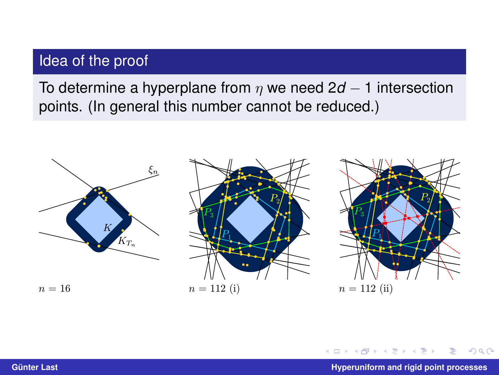## Idea of the proof

To determine a hyperplane from  $\eta$  we need 2*d* − 1 intersection points. (In general this number cannot be reduced.)

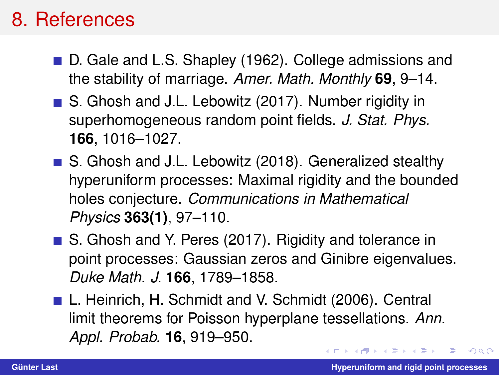# 8. References

- D. Gale and L.S. Shapley (1962). College admissions and the stability of marriage. *Amer. Math. Monthly* **69**, 9–14.
- S. Ghosh and J.L. Lebowitz (2017). Number rigidity in superhomogeneous random point fields. *J. Stat. Phys.* **166**, 1016–1027.
- S. Ghosh and J.L. Lebowitz (2018). Generalized stealthy hyperuniform processes: Maximal rigidity and the bounded holes conjecture. *Communications in Mathematical Physics* **363(1)**, 97–110.
- S. Ghosh and Y. Peres (2017). Rigidity and tolerance in point processes: Gaussian zeros and Ginibre eigenvalues. *Duke Math. J.* **166**, 1789–1858.
- L. Heinrich, H. Schmidt and V. Schmidt (2006). Central limit theorems for Poisson hyperplane tessellations. *Ann. Appl. Probab.* **16**, 919–950.